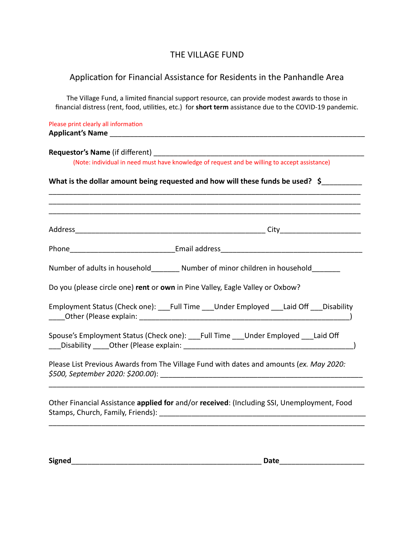## THE VILLAGE FUND

## Application for Financial Assistance for Residents in the Panhandle Area

The Village Fund, a limited financial support resource, can provide modest awards to those in financial distress (rent, food, utilities, etc.) for short term assistance due to the COVID-19 pandemic.

Please print clearly all information **Applicant's Name** \_\_\_\_\_\_\_\_\_\_\_\_\_\_\_\_\_\_\_\_\_\_\_\_\_\_\_\_\_\_\_\_\_\_\_\_\_\_\_\_\_\_\_\_\_\_\_\_\_\_\_\_\_\_\_\_\_\_\_\_\_\_\_

**Requestor's Name** (if different) **Name** and the state of the state of the state of the state of the state of the state of the state of the state of the state of the state of the state of the state of the state of the stat (Note: individual in need must have knowledge of request and be willing to accept assistance) What is the dollar amount being requested and how will these funds be used? \$ \_\_\_\_\_\_\_\_\_\_\_\_\_\_\_\_\_\_\_\_\_\_\_\_\_\_\_\_\_\_\_\_\_\_\_\_\_\_\_\_\_\_\_\_\_\_\_\_\_\_\_\_\_\_\_\_\_\_\_\_\_\_\_\_\_\_\_\_\_\_\_\_\_\_\_\_\_ \_\_\_\_\_\_\_\_\_\_\_\_\_\_\_\_\_\_\_\_\_\_\_\_\_\_\_\_\_\_\_\_\_\_\_\_\_\_\_\_\_\_\_\_\_\_\_\_\_\_\_\_\_\_\_\_\_\_\_\_\_\_\_\_\_\_\_\_\_\_\_\_\_\_\_\_\_ \_\_\_\_\_\_\_\_\_\_\_\_\_\_\_\_\_\_\_\_\_\_\_\_\_\_\_\_\_\_\_\_\_\_\_\_\_\_\_\_\_\_\_\_\_\_\_\_\_\_\_\_\_\_\_\_\_\_\_\_\_\_\_\_\_\_\_\_\_\_\_\_\_\_\_\_\_ Address\_\_\_\_\_\_\_\_\_\_\_\_\_\_\_\_\_\_\_\_\_\_\_\_\_\_\_\_\_\_\_\_\_\_\_\_\_\_\_\_\_\_\_\_\_\_\_ City\_\_\_\_\_\_\_\_\_\_\_\_\_\_\_\_\_\_\_\_ Phone **Email address Email address** Number of adults in household Number of minor children in household Do you (please circle one) **rent** or **own** in Pine Valley, Eagle Valley or Oxbow? Employment Status (Check one): \_\_\_\_Full Time \_\_\_\_Under Employed \_\_\_Laid Off \_\_\_Disability \_\_\_\_Other (Please explain: \_\_\_\_\_\_\_\_\_\_\_\_\_\_\_\_\_\_\_\_\_\_\_\_\_\_\_\_\_\_\_\_\_\_\_\_\_\_\_\_\_\_\_\_\_\_\_\_\_\_\_\_) Spouse's Employment Status (Check one): <br>Full Time \_\_\_\_Under Employed \_\_\_Laid Off \_\_\_Disability \_\_\_\_Other (Please explain: \_\_\_\_\_\_\_\_\_\_\_\_\_\_\_\_\_\_\_\_\_\_\_\_\_\_\_\_\_\_\_\_\_\_\_\_\_\_\_\_\_\_) Please List Previous Awards from The Village Fund with dates and amounts (*ex. May 2020: \$500, September 2020: \$200.00* ): \_\_\_\_\_\_\_\_\_\_\_\_\_\_\_\_\_\_\_\_\_\_\_\_\_\_\_\_\_\_\_\_\_\_\_\_\_\_\_\_\_\_\_\_\_\_\_\_\_\_ \_\_\_\_\_\_\_\_\_\_\_\_\_\_\_\_\_\_\_\_\_\_\_\_\_\_\_\_\_\_\_\_\_\_\_\_\_\_\_\_\_\_\_\_\_\_\_\_\_\_\_\_\_\_\_\_\_\_\_\_\_\_\_\_\_\_\_\_\_\_\_\_\_\_\_\_\_\_

Other Financial Assistance **applied for** and/or **received** : (Including SSI, Unemployment, Food Stamps, Church, Family, Friends): \_\_\_\_\_\_\_\_\_\_\_\_\_\_\_\_\_\_\_\_\_\_\_\_\_\_\_\_\_\_\_\_\_\_\_\_\_\_\_\_\_\_\_\_\_\_\_\_\_\_\_

\_\_\_\_\_\_\_\_\_\_\_\_\_\_\_\_\_\_\_\_\_\_\_\_\_\_\_\_\_\_\_\_\_\_\_\_\_\_\_\_\_\_\_\_\_\_\_\_\_\_\_\_\_\_\_\_\_\_\_\_\_\_\_\_\_\_\_\_\_\_\_\_\_\_\_\_\_\_

**Signed Date Date Date Date Date** *Date*